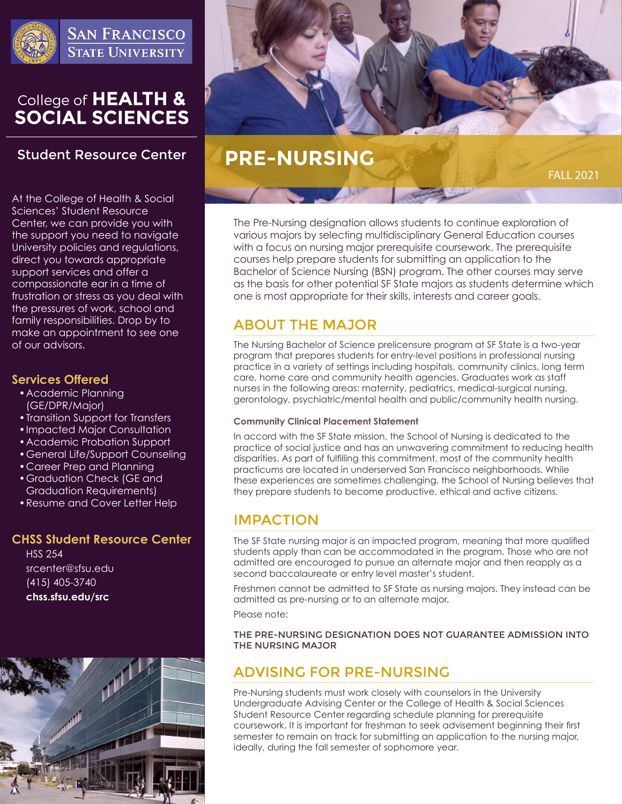

# College of HEALTH &<br>SOCIAL SCIENCES

## **Student Resource Center**

At the College of Health & Social Sciences' Student Resource Center, we can provide you with the support you need to navigate University policies and regulations, direct you towards appropriate support services and offer a compassionate ear in a time of frustration or stress as you deal with the pressures of work, school and family responsibilities. Drop by to make an appointment to see one of our advisors.

## **Services Offered**

- •Academic Planning (GE/DPR/Major)
- •Transition Support for Transfers
- •Impacted Major Consultation
- •Academic Probation Support
- •General Life/Support Counseling
- •Career Prep and Planning
- •Graduation Check (GE and Graduation Requirements)
- •Resume and Cover Letter Help

## **CHSS Student Resource Center**

HSS 254 srcenter@sfsu.edu (415) 405-3740 **chss.sfsu.edu/src**





## **PRE-NURSING**

FALL 2021

The Pre-Nursing designation allows students to continue exploration of various majors by selecting multidisciplinary General Education courses with a focus on nursing major prerequisite coursework. The prerequisite courses help prepare students for submitting an application to the Bachelor of Science Nursing (BSN) program. The other courses may serve as the basis for other potential SF State majors as students determine which one is most appropriate for their skills, interests and career goals.

## ABOUT THE MAJOR

The Nursing Bachelor of Science prelicensure program at SF State is a two-year program that prepares students for entry-level positions in professional nursing practice in a variety of settings including hospitals, community clinics, long term care, home care and community health agencies. Graduates work as staff nurses in the following areas: maternity, pediatrics, medical-surgical nursing, gerontology, psychiatric/mental health and public/community health nursing.

#### **Community Clinical Placement Statement**

In accord with the SF State mission, the School of Nursing is dedicated to the practice of social justice and has an unwavering commitment to reducing health disparities. As part of fulfilling this commitment, most of the community health practicums are located in underserved San Francisco neighborhoods. While these experiences are sometimes challenging, the School of Nursing believes that they prepare students to become productive, ethical and active citizens.

## IMPACTION

The SF State nursing major is an impacted program, meaning that more qualified students apply than can be accommodated in the program. Those who are not admitted are encouraged to pursue an alternate major and then reapply as a second baccalaureate or entry level master's student.

Freshmen cannot be admitted to SF State as nursing majors. They instead can be admitted as pre-nursing or to an alternate major.

Please note:

THE PRE-NURSING DESIGNATION DOES NOT GUARANTEE ADMISSION INTO THE NURSING MAJOR

## ADVISING FOR PRE-NURSING

Pre-Nursing students must work closely with counselors in the University Undergraduate Advising Center or the College of Health & Social Sciences Student Resource Center regarding schedule planning for prerequisite coursework. It is important for freshman to seek advisement beginning their first semester to remain on track for submitting an application to the nursing major, ideally, during the fall semester of sophomore year.